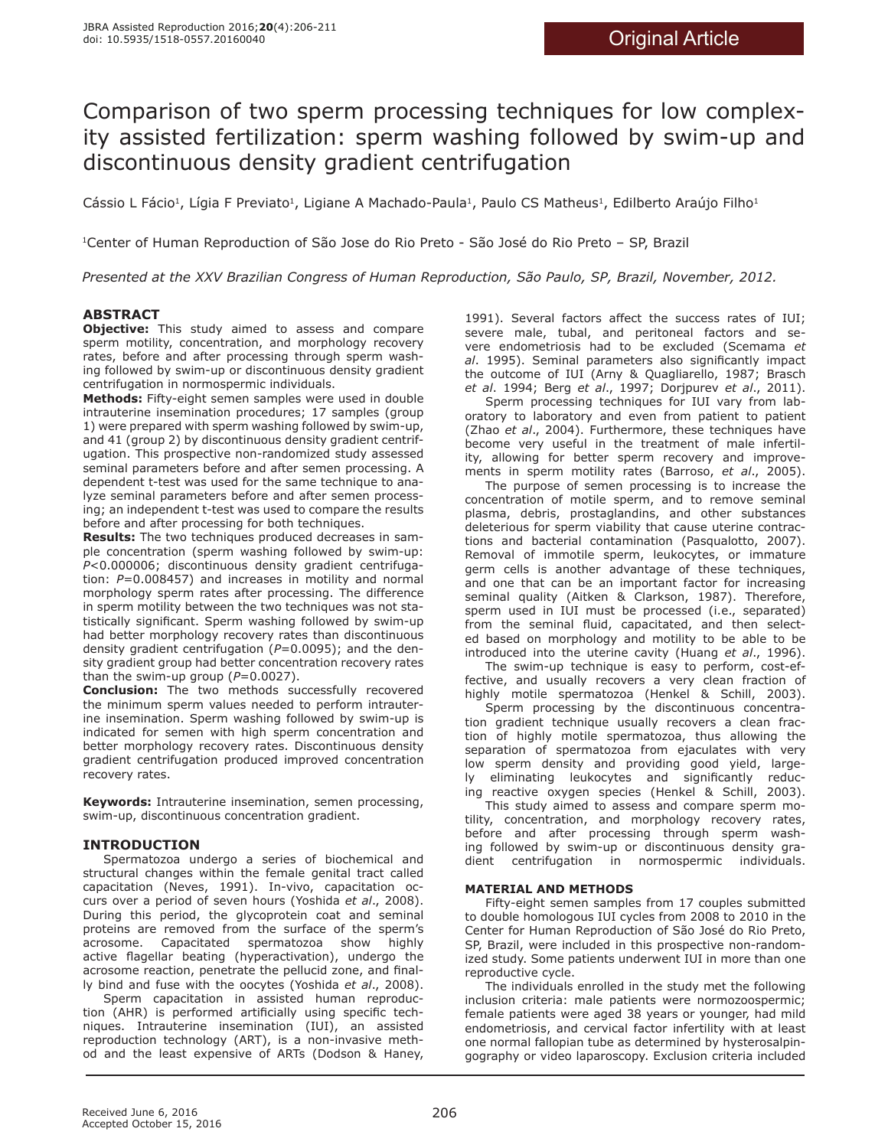# Comparison of two sperm processing techniques for low complexity assisted fertilization: sperm washing followed by swim-up and discontinuous density gradient centrifugation

Cássio L Fácio<sup>1</sup>, Lígia F Previato<sup>1</sup>, Ligiane A Machado-Paula<sup>1</sup>, Paulo CS Matheus<sup>1</sup>, Edilberto Araújo Filho<sup>1</sup>

1Center of Human Reproduction of São Jose do Rio Preto - São José do Rio Preto – SP, Brazil

*Presented at the XXV Brazilian Congress of Human Reproduction, São Paulo, SP, Brazil, November, 2012.*

# **ABSTRACT**

**Objective:** This study aimed to assess and compare sperm motility, concentration, and morphology recovery rates, before and after processing through sperm washing followed by swim-up or discontinuous density gradient centrifugation in normospermic individuals.

**Methods:** Fifty-eight semen samples were used in double intrauterine insemination procedures; 17 samples (group 1) were prepared with sperm washing followed by swim-up, and 41 (group 2) by discontinuous density gradient centrifugation. This prospective non-randomized study assessed seminal parameters before and after semen processing. A dependent t-test was used for the same technique to analyze seminal parameters before and after semen processing; an independent t-test was used to compare the results before and after processing for both techniques.

**Results:** The two techniques produced decreases in sample concentration (sperm washing followed by swim-up: *P*<0.000006; discontinuous density gradient centrifugation: *P*=0.008457) and increases in motility and normal morphology sperm rates after processing. The difference in sperm motility between the two techniques was not statistically significant. Sperm washing followed by swim-up had better morphology recovery rates than discontinuous density gradient centrifugation (*P*=0.0095); and the density gradient group had better concentration recovery rates than the swim-up group  $(P=0.0027)$ .

**Conclusion:** The two methods successfully recovered the minimum sperm values needed to perform intrauterine insemination. Sperm washing followed by swim-up is indicated for semen with high sperm concentration and better morphology recovery rates. Discontinuous density gradient centrifugation produced improved concentration recovery rates.

**Keywords:** Intrauterine insemination, semen processing, swim-up, discontinuous concentration gradient.

# **INTRODUCTION**

Spermatozoa undergo a series of biochemical and structural changes within the female genital tract called capacitation (Neves, 1991). In-vivo, capacitation occurs over a period of seven hours (Yoshida *et al*., 2008). During this period, the glycoprotein coat and seminal proteins are removed from the surface of the sperm's acrosome. Capacitated spermatozoa show highly active flagellar beating (hyperactivation), undergo the acrosome reaction, penetrate the pellucid zone, and finally bind and fuse with the oocytes (Yoshida *et al*., 2008).

Sperm capacitation in assisted human reproduction (AHR) is performed artificially using specific techniques. Intrauterine insemination (IUI), an assisted reproduction technology (ART), is a non-invasive method and the least expensive of ARTs (Dodson & Haney, 1991). Several factors affect the success rates of IUI; severe male, tubal, and peritoneal factors and severe endometriosis had to be excluded (Scemama *et al*. 1995). Seminal parameters also significantly impact the outcome of IUI (Arny & Quagliarello, 1987; Brasch *et al*. 1994; Berg *et al*., 1997; Dorjpurev *et al*., 2011).

Sperm processing techniques for IUI vary from laboratory to laboratory and even from patient to patient (Zhao *et al*., 2004). Furthermore, these techniques have become very useful in the treatment of male infertility, allowing for better sperm recovery and improvements in sperm motility rates (Barroso, *et al*., 2005).

The purpose of semen processing is to increase the concentration of motile sperm, and to remove seminal plasma, debris, prostaglandins, and other substances deleterious for sperm viability that cause uterine contractions and bacterial contamination (Pasqualotto, 2007). Removal of immotile sperm, leukocytes, or immature germ cells is another advantage of these techniques, and one that can be an important factor for increasing seminal quality (Aitken & Clarkson, 1987). Therefore, sperm used in IUI must be processed (i.e., separated) from the seminal fluid, capacitated, and then selected based on morphology and motility to be able to be introduced into the uterine cavity (Huang *et al*., 1996).

The swim-up technique is easy to perform, cost-effective, and usually recovers a very clean fraction of highly motile spermatozoa (Henkel & Schill, 2003).

Sperm processing by the discontinuous concentration gradient technique usually recovers a clean fraction of highly motile spermatozoa, thus allowing the separation of spermatozoa from ejaculates with very low sperm density and providing good yield, largely eliminating leukocytes and significantly reducing reactive oxygen species (Henkel & Schill, 2003).

This study aimed to assess and compare sperm motility, concentration, and morphology recovery rates, before and after processing through sperm washing followed by swim-up or discontinuous density gradient centrifugation in normospermic individuals.

# **MATERIAL AND METHODS**

Fifty-eight semen samples from 17 couples submitted to double homologous IUI cycles from 2008 to 2010 in the Center for Human Reproduction of São José do Rio Preto, SP, Brazil, were included in this prospective non-randomized study. Some patients underwent IUI in more than one reproductive cycle.

The individuals enrolled in the study met the following inclusion criteria: male patients were normozoospermic; female patients were aged 38 years or younger, had mild endometriosis, and cervical factor infertility with at least one normal fallopian tube as determined by hysterosalpingography or video laparoscopy. Exclusion criteria included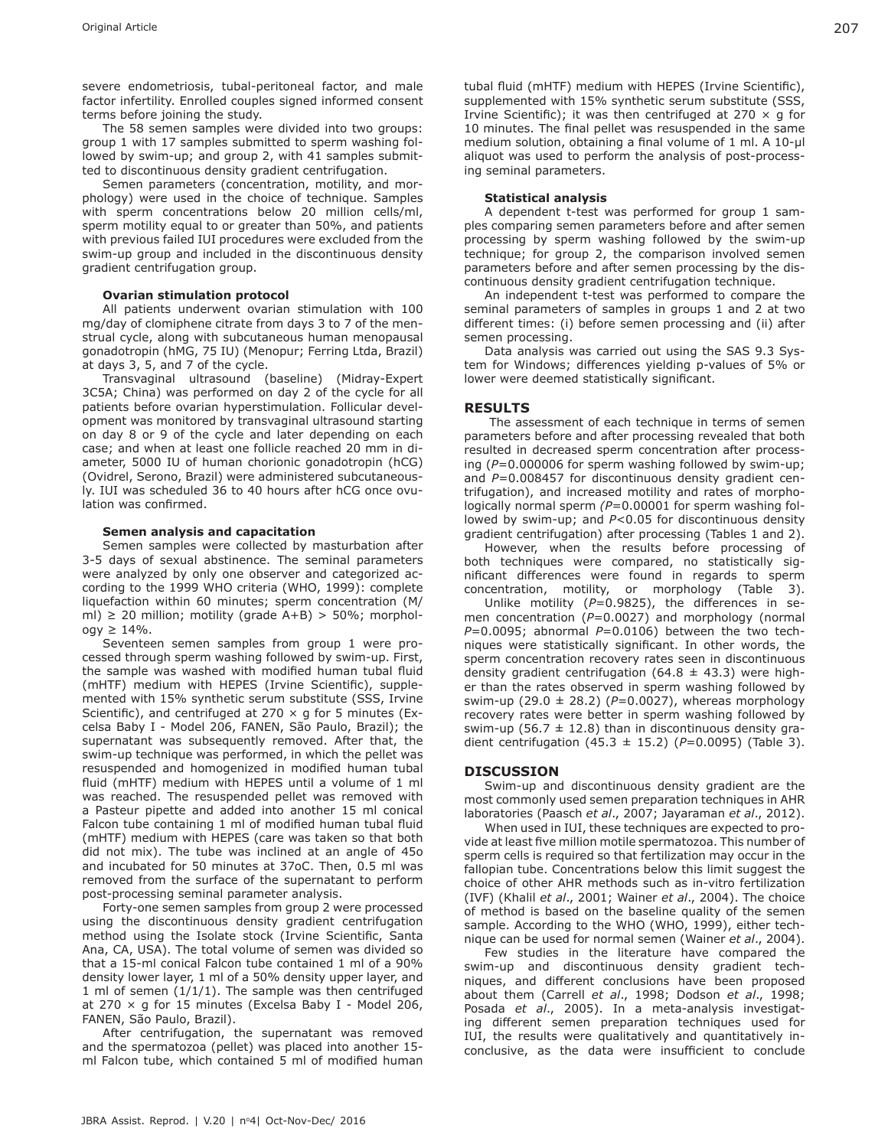severe endometriosis, tubal-peritoneal factor, and male factor infertility. Enrolled couples signed informed consent terms before joining the study.

The 58 semen samples were divided into two groups: group 1 with 17 samples submitted to sperm washing followed by swim-up; and group 2, with 41 samples submitted to discontinuous density gradient centrifugation.

Semen parameters (concentration, motility, and morphology) were used in the choice of technique. Samples with sperm concentrations below 20 million cells/ml, sperm motility equal to or greater than 50%, and patients with previous failed IUI procedures were excluded from the swim-up group and included in the discontinuous density gradient centrifugation group.

#### **Ovarian stimulation protocol**

All patients underwent ovarian stimulation with 100 mg/day of clomiphene citrate from days 3 to 7 of the menstrual cycle, along with subcutaneous human menopausal gonadotropin (hMG, 75 IU) (Menopur; Ferring Ltda, Brazil) at days 3, 5, and 7 of the cycle.

Transvaginal ultrasound (baseline) (Midray-Expert 3C5A; China) was performed on day 2 of the cycle for all patients before ovarian hyperstimulation. Follicular development was monitored by transvaginal ultrasound starting on day 8 or 9 of the cycle and later depending on each case; and when at least one follicle reached 20 mm in diameter, 5000 IU of human chorionic gonadotropin (hCG) (Ovidrel, Serono, Brazil) were administered subcutaneously. IUI was scheduled 36 to 40 hours after hCG once ovulation was confirmed.

#### **Semen analysis and capacitation**

Semen samples were collected by masturbation after 3-5 days of sexual abstinence. The seminal parameters were analyzed by only one observer and categorized according to the 1999 WHO criteria (WHO, 1999): complete liquefaction within 60 minutes; sperm concentration (M/ ml)  $\geq$  20 million; motility (grade A+B)  $>$  50%; morphol $ogy \geq 14\%$ .

Seventeen semen samples from group 1 were processed through sperm washing followed by swim-up. First, the sample was washed with modified human tubal fluid (mHTF) medium with HEPES (Irvine Scientific), supplemented with 15% synthetic serum substitute (SSS, Irvine Scientific), and centrifuged at 270  $\times$  g for 5 minutes (Excelsa Baby I - Model 206, FANEN, São Paulo, Brazil); the supernatant was subsequently removed. After that, the swim-up technique was performed, in which the pellet was resuspended and homogenized in modified human tubal fluid (mHTF) medium with HEPES until a volume of 1 ml was reached. The resuspended pellet was removed with a Pasteur pipette and added into another 15 ml conical Falcon tube containing 1 ml of modified human tubal fluid (mHTF) medium with HEPES (care was taken so that both did not mix). The tube was inclined at an angle of 45o and incubated for 50 minutes at 37oC. Then, 0.5 ml was removed from the surface of the supernatant to perform post-processing seminal parameter analysis.

Forty-one semen samples from group 2 were processed using the discontinuous density gradient centrifugation method using the Isolate stock (Irvine Scientific, Santa Ana, CA, USA). The total volume of semen was divided so that a 15-ml conical Falcon tube contained 1 ml of a 90% density lower layer, 1 ml of a 50% density upper layer, and 1 ml of semen  $(1/1/1)$ . The sample was then centrifuged at 270  $\times$  g for 15 minutes (Excelsa Baby I - Model 206, FANEN, São Paulo, Brazil).

After centrifugation, the supernatant was removed and the spermatozoa (pellet) was placed into another 15 ml Falcon tube, which contained 5 ml of modified human

tubal fluid (mHTF) medium with HEPES (Irvine Scientific), supplemented with 15% synthetic serum substitute (SSS, Irvine Scientific); it was then centrifuged at 270  $\times$  q for 10 minutes. The final pellet was resuspended in the same medium solution, obtaining a final volume of 1 ml. A 10-μl aliquot was used to perform the analysis of post-processing seminal parameters.

#### **Statistical analysis**

A dependent t-test was performed for group 1 samples comparing semen parameters before and after semen processing by sperm washing followed by the swim-up technique; for group 2, the comparison involved semen parameters before and after semen processing by the discontinuous density gradient centrifugation technique.

An independent t-test was performed to compare the seminal parameters of samples in groups 1 and 2 at two different times: (i) before semen processing and (ii) after semen processing.

Data analysis was carried out using the SAS 9.3 System for Windows; differences yielding p-values of 5% or lower were deemed statistically significant.

#### **RESULTS**

 The assessment of each technique in terms of semen parameters before and after processing revealed that both resulted in decreased sperm concentration after processing (*P*=0.000006 for sperm washing followed by swim-up; and *P*=0.008457 for discontinuous density gradient centrifugation), and increased motility and rates of morphologically normal sperm *(P*=0.00001 for sperm washing followed by swim-up; and *P*<0.05 for discontinuous density gradient centrifugation) after processing (Tables 1 and 2).

However, when the results before processing of both techniques were compared, no statistically significant differences were found in regards to sperm concentration, motility, or morphology (Table 3).

Unlike motility (*P*=0.9825), the differences in semen concentration (P=0.0027) and morphology (normal  $P=0.0095$ ; abnormal  $P=0.0106$ ) between the two techniques were statistically significant. In other words, the sperm concentration recovery rates seen in discontinuous density gradient centrifugation (64.8  $\pm$  43.3) were higher than the rates observed in sperm washing followed by swim-up (29.0 ± 28.2) (*P*=0.0027), whereas morphology recovery rates were better in sperm washing followed by swim-up (56.7  $\pm$  12.8) than in discontinuous density gradient centrifugation (45.3 ± 15.2) (*P*=0.0095) (Table 3).

#### **DISCUSSION**

Swim-up and discontinuous density gradient are the most commonly used semen preparation techniques in AHR laboratories (Paasch *et al*., 2007; Jayaraman *et al*., 2012).

When used in IUI, these techniques are expected to provide at least five million motile spermatozoa. This number of sperm cells is required so that fertilization may occur in the fallopian tube. Concentrations below this limit suggest the choice of other AHR methods such as in-vitro fertilization (IVF) (Khalil *et al*., 2001; Wainer *et al*., 2004). The choice of method is based on the baseline quality of the semen sample. According to the WHO (WHO, 1999), either technique can be used for normal semen (Wainer *et al*., 2004).

Few studies in the literature have compared the swim-up and discontinuous density gradient techniques, and different conclusions have been proposed about them (Carrell *et al*., 1998; Dodson *et al*., 1998; Posada *et al*., 2005). In a meta-analysis investigating different semen preparation techniques used for IUI, the results were qualitatively and quantitatively inconclusive, as the data were insufficient to conclude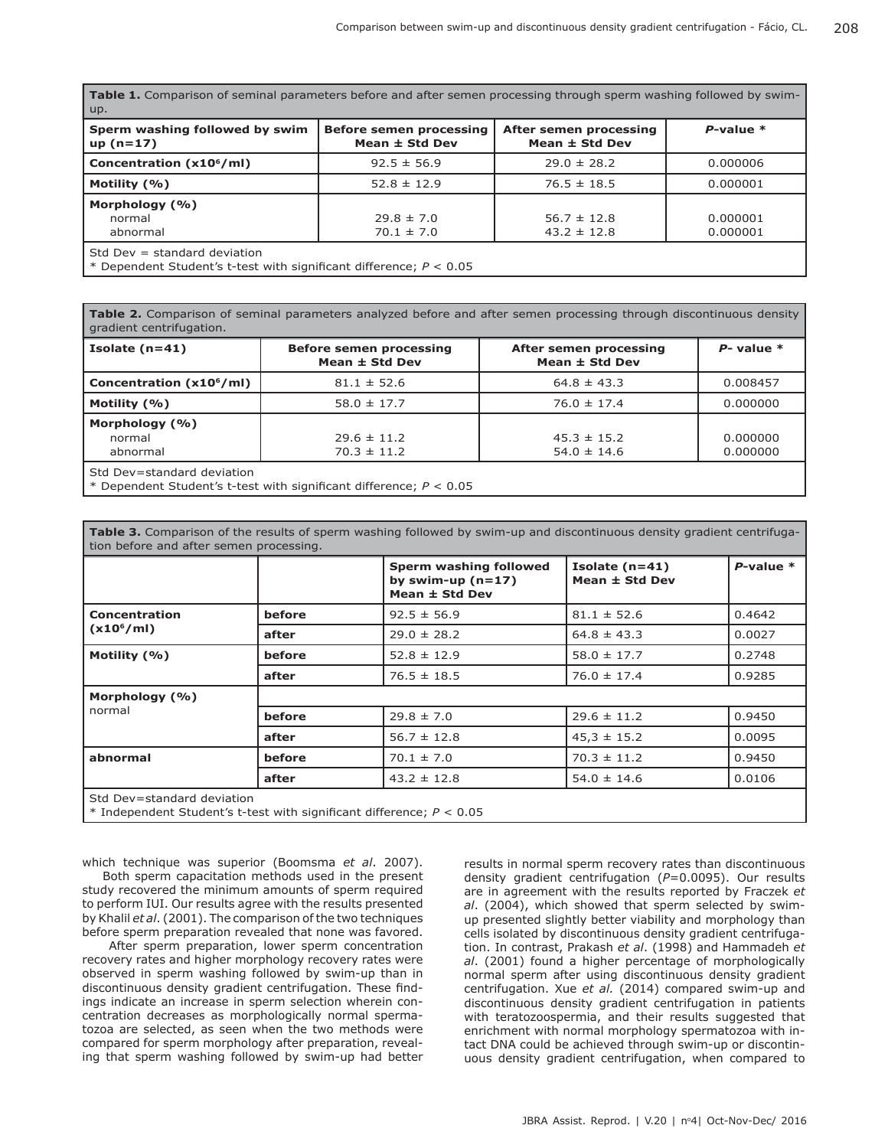| <b>Table 1.</b> Comparison of seminal parameters before and after semen processing through sperm washing followed by swim-<br>  up. |                                                      |                                              |                      |  |  |  |  |
|-------------------------------------------------------------------------------------------------------------------------------------|------------------------------------------------------|----------------------------------------------|----------------------|--|--|--|--|
| Sperm washing followed by swim<br>$up(n=17)$                                                                                        | <b>Before semen processing</b><br>Mean $\pm$ Std Dev | After semen processing<br>Mean $\pm$ Std Dev | $P$ -value $*$       |  |  |  |  |
| Concentration (x10 <sup>6</sup> /ml)                                                                                                | $92.5 \pm 56.9$                                      | $29.0 \pm 28.2$                              | 0.000006             |  |  |  |  |
| Motility (%)                                                                                                                        | $52.8 \pm 12.9$                                      | $76.5 \pm 18.5$                              | 0.000001             |  |  |  |  |
| Morphology (%)<br>normal<br>abnormal                                                                                                | $29.8 \pm 7.0$<br>$70.1 \pm 7.0$                     | $56.7 \pm 12.8$<br>$43.2 \pm 12.8$           | 0.000001<br>0.000001 |  |  |  |  |
| Std Dev $=$ standard deviation<br>* Dependent Student's t-test with significant difference; $P < 0.05$                              |                                                      |                                              |                      |  |  |  |  |

**Table 2.** Comparison of seminal parameters analyzed before and after semen processing through discontinuous density gradient centrifugation.

| Isolate $(n=41)$                     | <b>Before semen processing</b><br>Mean ± Std Dev | After semen processing<br>Mean $\pm$ Std Dev | $P$ - value $*$ |
|--------------------------------------|--------------------------------------------------|----------------------------------------------|-----------------|
| Concentration (x10 <sup>6</sup> /ml) | $81.1 \pm 52.6$                                  | $64.8 \pm 43.3$                              | 0.008457        |
| Motility $(% )$                      | $58.0 \pm 17.7$                                  | $76.0 \pm 17.4$                              | 0.000000        |
| Morphology (%)                       |                                                  |                                              |                 |
| normal                               | $29.6 \pm 11.2$                                  | $45.3 \pm 15.2$                              | 0.000000        |
| abnormal                             | $70.3 \pm 11.2$                                  | $54.0 \pm 14.6$                              | 0.000000        |
| Std Dev=standard deviation           |                                                  |                                              |                 |

\* Dependent Student's t-test with significant difference; *P* < 0.05

| Table 3. Comparison of the results of sperm washing followed by swim-up and discontinuous density gradient centrifuga-<br>tion before and after semen processing. |        |                                                                 |                                    |                |  |  |  |
|-------------------------------------------------------------------------------------------------------------------------------------------------------------------|--------|-----------------------------------------------------------------|------------------------------------|----------------|--|--|--|
|                                                                                                                                                                   |        | Sperm washing followed<br>by swim-up $(n=17)$<br>Mean ± Std Dev | Isolate $(n=41)$<br>Mean ± Std Dev | $P$ -value $*$ |  |  |  |
| <b>Concentration</b><br>(x10 <sup>6</sup> /ml)                                                                                                                    | before | $92.5 \pm 56.9$                                                 | $81.1 \pm 52.6$                    | 0.4642         |  |  |  |
|                                                                                                                                                                   | after  | $29.0 \pm 28.2$                                                 | $64.8 \pm 43.3$                    | 0.0027         |  |  |  |
| Motility (%)                                                                                                                                                      | before | $52.8 \pm 12.9$                                                 | $58.0 \pm 17.7$                    | 0.2748         |  |  |  |
|                                                                                                                                                                   | after  | $76.5 \pm 18.5$                                                 | $76.0 \pm 17.4$                    | 0.9285         |  |  |  |
| Morphology (%)                                                                                                                                                    |        |                                                                 |                                    |                |  |  |  |
| normal                                                                                                                                                            | before | $29.8 \pm 7.0$                                                  | $29.6 \pm 11.2$                    | 0.9450         |  |  |  |
|                                                                                                                                                                   | after  | $56.7 \pm 12.8$                                                 | $45,3 \pm 15.2$                    | 0.0095         |  |  |  |
| abnormal                                                                                                                                                          | before | $70.1 \pm 7.0$                                                  | $70.3 \pm 11.2$                    | 0.9450         |  |  |  |
|                                                                                                                                                                   | after  | $43.2 \pm 12.8$                                                 | $54.0 \pm 14.6$                    | 0.0106         |  |  |  |
| Std Dev=standard deviation<br>$*$ Independent Student's t-test with significant difference; $P < 0.05$                                                            |        |                                                                 |                                    |                |  |  |  |

which technique was superior (Boomsma *et al*. 2007). Both sperm capacitation methods used in the present study recovered the minimum amounts of sperm required to perform IUI. Our results agree with the results presented by Khalil *et al*. (2001). The comparison of the two techniques before sperm preparation revealed that none was favored.

 After sperm preparation, lower sperm concentration recovery rates and higher morphology recovery rates were observed in sperm washing followed by swim-up than in discontinuous density gradient centrifugation. These findings indicate an increase in sperm selection wherein concentration decreases as morphologically normal spermatozoa are selected, as seen when the two methods were compared for sperm morphology after preparation, revealing that sperm washing followed by swim-up had better results in normal sperm recovery rates than discontinuous density gradient centrifugation (*P*=0.0095). Our results are in agreement with the results reported by Fraczek *et al*. (2004), which showed that sperm selected by swimup presented slightly better viability and morphology than cells isolated by discontinuous density gradient centrifugation. In contrast, Prakash *et al*. (1998) and Hammadeh *et al*. (2001) found a higher percentage of morphologically normal sperm after using discontinuous density gradient centrifugation. Xue *et al.* (2014) compared swim-up and discontinuous density gradient centrifugation in patients with teratozoospermia, and their results suggested that enrichment with normal morphology spermatozoa with intact DNA could be achieved through swim-up or discontinuous density gradient centrifugation, when compared to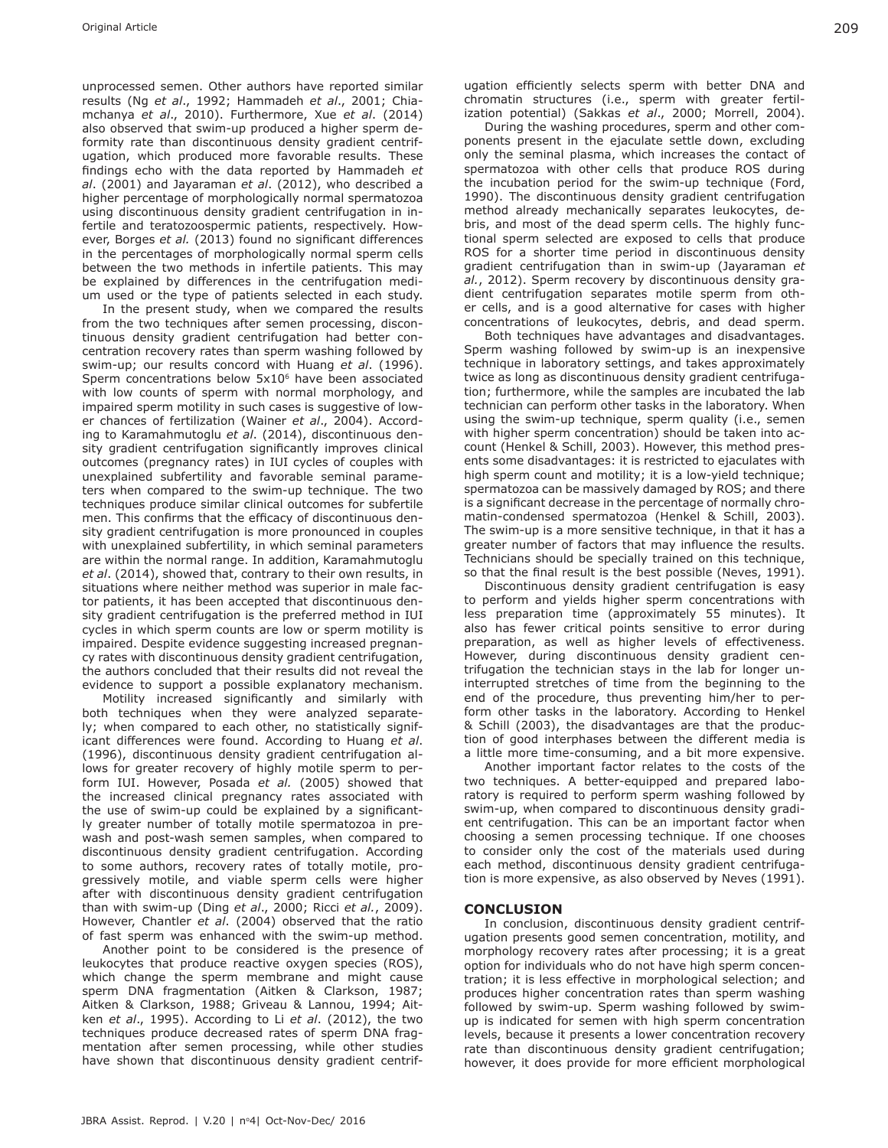unprocessed semen. Other authors have reported similar results (Ng *et al*., 1992; Hammadeh *et al*., 2001; Chiamchanya *et al*., 2010). Furthermore, Xue *et al*. (2014) also observed that swim-up produced a higher sperm deformity rate than discontinuous density gradient centrifugation, which produced more favorable results. These findings echo with the data reported by Hammadeh *et al*. (2001) and Jayaraman *et al*. (2012), who described a higher percentage of morphologically normal spermatozoa using discontinuous density gradient centrifugation in infertile and teratozoospermic patients, respectively. However, Borges *et al.* (2013) found no significant differences in the percentages of morphologically normal sperm cells between the two methods in infertile patients. This may be explained by differences in the centrifugation medium used or the type of patients selected in each study.

In the present study, when we compared the results from the two techniques after semen processing, discontinuous density gradient centrifugation had better concentration recovery rates than sperm washing followed by swim-up; our results concord with Huang *et al*. (1996). Sperm concentrations below 5x10<sup>6</sup> have been associated with low counts of sperm with normal morphology, and impaired sperm motility in such cases is suggestive of lower chances of fertilization (Wainer *et al*., 2004). According to Karamahmutoglu *et al*. (2014), discontinuous density gradient centrifugation significantly improves clinical outcomes (pregnancy rates) in IUI cycles of couples with unexplained subfertility and favorable seminal parameters when compared to the swim-up technique. The two techniques produce similar clinical outcomes for subfertile men. This confirms that the efficacy of discontinuous density gradient centrifugation is more pronounced in couples with unexplained subfertility, in which seminal parameters are within the normal range. In addition, Karamahmutoglu *et al*. (2014), showed that, contrary to their own results, in situations where neither method was superior in male factor patients, it has been accepted that discontinuous density gradient centrifugation is the preferred method in IUI cycles in which sperm counts are low or sperm motility is impaired. Despite evidence suggesting increased pregnancy rates with discontinuous density gradient centrifugation, the authors concluded that their results did not reveal the evidence to support a possible explanatory mechanism.

Motility increased significantly and similarly with both techniques when they were analyzed separately; when compared to each other, no statistically significant differences were found. According to Huang *et al*. (1996), discontinuous density gradient centrifugation allows for greater recovery of highly motile sperm to perform IUI. However, Posada *et al.* (2005) showed that the increased clinical pregnancy rates associated with the use of swim-up could be explained by a significantly greater number of totally motile spermatozoa in prewash and post-wash semen samples, when compared to discontinuous density gradient centrifugation. According to some authors, recovery rates of totally motile, progressively motile, and viable sperm cells were higher after with discontinuous density gradient centrifugation than with swim-up (Ding *et al*., 2000; Ricci *et al.*, 2009). However, Chantler *et al*. (2004) observed that the ratio of fast sperm was enhanced with the swim-up method.

Another point to be considered is the presence of leukocytes that produce reactive oxygen species (ROS), which change the sperm membrane and might cause sperm DNA fragmentation (Aitken & Clarkson, 1987; Aitken & Clarkson, 1988; Griveau & Lannou, 1994; Aitken *et al*., 1995). According to Li *et al*. (2012), the two techniques produce decreased rates of sperm DNA fragmentation after semen processing, while other studies have shown that discontinuous density gradient centrifugation efficiently selects sperm with better DNA and chromatin structures (i.e., sperm with greater fertilization potential) (Sakkas *et al*., 2000; Morrell, 2004).

During the washing procedures, sperm and other components present in the ejaculate settle down, excluding only the seminal plasma, which increases the contact of spermatozoa with other cells that produce ROS during the incubation period for the swim-up technique (Ford, 1990). The discontinuous density gradient centrifugation method already mechanically separates leukocytes, debris, and most of the dead sperm cells. The highly functional sperm selected are exposed to cells that produce ROS for a shorter time period in discontinuous density gradient centrifugation than in swim-up (Jayaraman *et al.*, 2012). Sperm recovery by discontinuous density gradient centrifugation separates motile sperm from other cells, and is a good alternative for cases with higher concentrations of leukocytes, debris, and dead sperm.

Both techniques have advantages and disadvantages. Sperm washing followed by swim-up is an inexpensive technique in laboratory settings, and takes approximately twice as long as discontinuous density gradient centrifugation; furthermore, while the samples are incubated the lab technician can perform other tasks in the laboratory. When using the swim-up technique, sperm quality (i.e., semen with higher sperm concentration) should be taken into account (Henkel & Schill, 2003). However, this method presents some disadvantages: it is restricted to ejaculates with high sperm count and motility; it is a low-yield technique; spermatozoa can be massively damaged by ROS; and there is a significant decrease in the percentage of normally chromatin-condensed spermatozoa (Henkel & Schill, 2003). The swim-up is a more sensitive technique, in that it has a greater number of factors that may influence the results. Technicians should be specially trained on this technique, so that the final result is the best possible (Neves, 1991).

Discontinuous density gradient centrifugation is easy to perform and yields higher sperm concentrations with less preparation time (approximately 55 minutes). It also has fewer critical points sensitive to error during preparation, as well as higher levels of effectiveness. However, during discontinuous density gradient centrifugation the technician stays in the lab for longer uninterrupted stretches of time from the beginning to the end of the procedure, thus preventing him/her to perform other tasks in the laboratory. According to Henkel & Schill (2003), the disadvantages are that the production of good interphases between the different media is a little more time-consuming, and a bit more expensive.

Another important factor relates to the costs of the two techniques. A better-equipped and prepared laboratory is required to perform sperm washing followed by swim-up, when compared to discontinuous density gradient centrifugation. This can be an important factor when choosing a semen processing technique. If one chooses to consider only the cost of the materials used during each method, discontinuous density gradient centrifugation is more expensive, as also observed by Neves (1991).

## **CONCLUSION**

In conclusion, discontinuous density gradient centrifugation presents good semen concentration, motility, and morphology recovery rates after processing; it is a great option for individuals who do not have high sperm concentration; it is less effective in morphological selection; and produces higher concentration rates than sperm washing followed by swim-up. Sperm washing followed by swimup is indicated for semen with high sperm concentration levels, because it presents a lower concentration recovery rate than discontinuous density gradient centrifugation; however, it does provide for more efficient morphological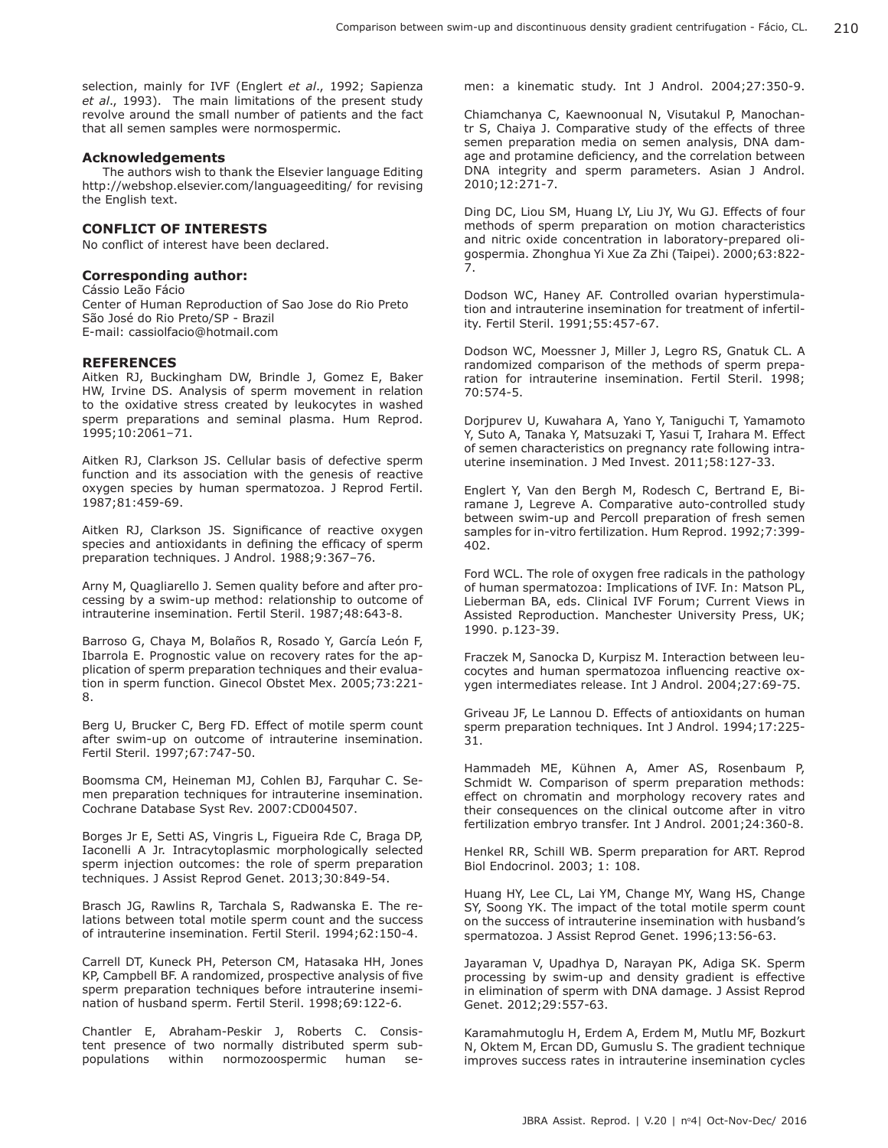selection, mainly for IVF (Englert *et al*., 1992; Sapienza *et al*., 1993). The main limitations of the present study revolve around the small number of patients and the fact that all semen samples were normospermic.

## **Acknowledgements**

The authors wish to thank the Elsevier language Editing http://webshop.elsevier.com/languageediting/ for revising the English text.

# **CONFLICT OF INTERESTS**

No conflict of interest have been declared.

### **Corresponding author:**

Cássio Leão Fácio Center of Human Reproduction of Sao Jose do Rio Preto São José do Rio Preto/SP - Brazil E-mail: cassiolfacio@hotmail.com

#### **REFERENCES**

Aitken RJ, Buckingham DW, Brindle J, Gomez E, Baker HW, Irvine DS. Analysis of sperm movement in relation to the oxidative stress created by leukocytes in washed sperm preparations and seminal plasma. Hum Reprod. 1995;10:2061–71.

Aitken RJ, Clarkson JS. Cellular basis of defective sperm function and its association with the genesis of reactive oxygen species by human spermatozoa. J Reprod Fertil. 1987;81:459-69.

Aitken RJ, Clarkson JS. Significance of reactive oxygen species and antioxidants in defining the efficacy of sperm preparation techniques. J Androl. 1988;9:367–76.

Arny M, Quagliarello J. Semen quality before and after processing by a swim-up method: relationship to outcome of intrauterine insemination. Fertil Steril. 1987;48:643-8.

Barroso G, Chaya M, Bolaños R, Rosado Y, García León F, Ibarrola E. Prognostic value on recovery rates for the application of sperm preparation techniques and their evaluation in sperm function. Ginecol Obstet Mex. 2005;73:221- 8.

Berg U, Brucker C, Berg FD. Effect of motile sperm count after swim-up on outcome of intrauterine insemination. Fertil Steril. 1997;67:747-50.

Boomsma CM, Heineman MJ, Cohlen BJ, Farquhar C. Semen preparation techniques for intrauterine insemination. Cochrane Database Syst Rev. 2007:CD004507.

Borges Jr E, Setti AS, Vingris L, Figueira Rde C, Braga DP, Iaconelli A Jr. Intracytoplasmic morphologically selected sperm injection outcomes: the role of sperm preparation techniques. J Assist Reprod Genet. 2013;30:849-54.

Brasch JG, Rawlins R, Tarchala S, Radwanska E. The relations between total motile sperm count and the success of intrauterine insemination. Fertil Steril. 1994;62:150-4.

Carrell DT, Kuneck PH, Peterson CM, Hatasaka HH, Jones KP, Campbell BF. A randomized, prospective analysis of five sperm preparation techniques before intrauterine insemination of husband sperm. Fertil Steril. 1998;69:122-6.

Chantler E, Abraham-Peskir J, Roberts C. Consistent presence of two normally distributed sperm subpopulations within normozoospermic human semen: a kinematic study. Int J Androl. 2004;27:350-9.

Chiamchanya C, Kaewnoonual N, Visutakul P, Manochantr S, Chaiya J. Comparative study of the effects of three semen preparation media on semen analysis, DNA damage and protamine deficiency, and the correlation between DNA integrity and sperm parameters. Asian J Androl. 2010;12:271-7.

Ding DC, Liou SM, Huang LY, Liu JY, Wu GJ. Effects of four methods of sperm preparation on motion characteristics and nitric oxide concentration in laboratory-prepared oligospermia. Zhonghua Yi Xue Za Zhi (Taipei). 2000;63:822- 7.

Dodson WC, Haney AF. Controlled ovarian hyperstimulation and intrauterine insemination for treatment of infertility. Fertil Steril. 1991;55:457-67.

Dodson WC, Moessner J, Miller J, Legro RS, Gnatuk CL. A randomized comparison of the methods of sperm preparation for intrauterine insemination. Fertil Steril. 1998; 70:574-5.

Dorjpurev U, Kuwahara A, Yano Y, Taniguchi T, Yamamoto Y, Suto A, Tanaka Y, Matsuzaki T, Yasui T, Irahara M. Effect of semen characteristics on pregnancy rate following intrauterine insemination. J Med Invest. 2011;58:127-33.

Englert Y, Van den Bergh M, Rodesch C, Bertrand E, Biramane J, Legreve A. Comparative auto-controlled study between swim-up and Percoll preparation of fresh semen samples for in-vitro fertilization. Hum Reprod. 1992;7:399- 402.

Ford WCL. The role of oxygen free radicals in the pathology of human spermatozoa: Implications of IVF. In: Matson PL, Lieberman BA, eds. Clinical IVF Forum; Current Views in Assisted Reproduction. Manchester University Press, UK; 1990. p.123-39.

Fraczek M, Sanocka D, Kurpisz M. Interaction between leucocytes and human spermatozoa influencing reactive oxygen intermediates release. Int J Androl. 2004;27:69-75.

Griveau JF, Le Lannou D. Effects of antioxidants on human sperm preparation techniques. Int J Androl. 1994;17:225- 31.

Hammadeh ME, Kühnen A, Amer AS, Rosenbaum P, Schmidt W. Comparison of sperm preparation methods: effect on chromatin and morphology recovery rates and their consequences on the clinical outcome after in vitro fertilization embryo transfer. Int J Androl. 2001;24:360-8.

Henkel RR, Schill WB. Sperm preparation for ART. Reprod Biol Endocrinol. 2003; 1: 108.

Huang HY, Lee CL, Lai YM, Change MY, Wang HS, Change SY, Soong YK. The impact of the total motile sperm count on the success of intrauterine insemination with husband's spermatozoa. J Assist Reprod Genet. 1996;13:56-63.

Jayaraman V, Upadhya D, Narayan PK, Adiga SK. Sperm processing by swim-up and density gradient is effective in elimination of sperm with DNA damage. J Assist Reprod Genet. 2012;29:557-63.

Karamahmutoglu H, Erdem A, Erdem M, Mutlu MF, Bozkurt N, Oktem M, Ercan DD, Gumuslu S. The gradient technique improves success rates in intrauterine insemination cycles